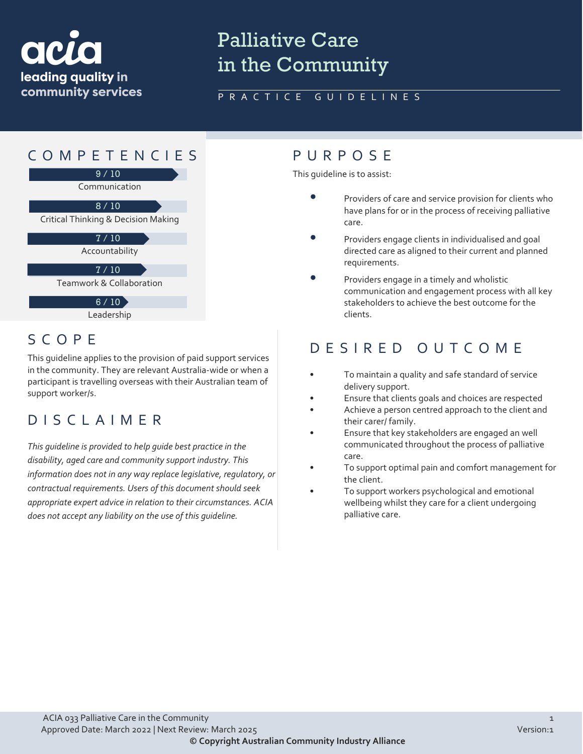

# Palliative Care in the Community

### PRACTICE GUIDELINES



### Leadership

## SCOPE

This guideline applies to the provision of paid support services in the community. They are relevant Australia-wide or when a participant is travelling overseas with their Australian team of support worker/s.

## DISCLAIMER

*This guideline is provided to help guide best practice in the disability, aged care and community support industry. This information does not in any way replace legislative, regulatory, or contractual requirements. Users of this document should seek appropriate expert advice in relation to their circumstances. ACIA does not accept any liability on the use of this guideline.*

This guideline is to assist:

- Providers of care and service provision for clients who have plans for or in the process of receiving palliative care.
- Providers engage clients in individualised and goal directed care as aligned to their current and planned requirements.
- Providers engage in a timely and wholistic communication and engagement process with all key stakeholders to achieve the best outcome for the clients.

# DESIRED OUTCOME

- To maintain a quality and safe standard of service delivery support.
- Ensure that clients goals and choices are respected
- Achieve a person centred approach to the client and their carer/ family.
- Ensure that key stakeholders are engaged an well communicated throughout the process of palliative care.
- To support optimal pain and comfort management for the client.
- To support workers psychological and emotional wellbeing whilst they care for a client undergoing palliative care.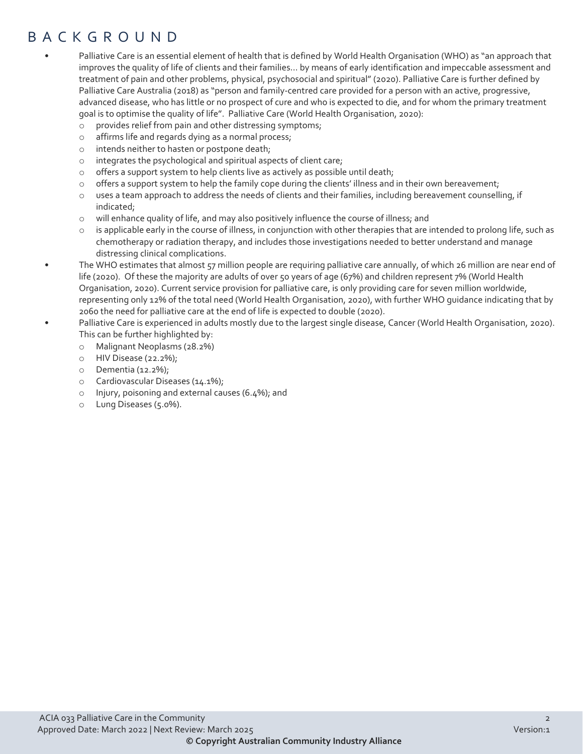# BACKGROUND

- Palliative Care is an essential element of health that is defined by World Health Organisation (WHO) as "an approach that improves the quality of life of clients and their families... by means of early identification and impeccable assessment and treatment of pain and other problems, physical, psychosocial and spiritual" (2020). Palliative Care is further defined by Palliative Care Australia (2018) as "person and family-centred care provided for a person with an active, progressive, advanced disease, who has little or no prospect of cure and who is expected to die, and for whom the primary treatment goal is to optimise the quality of life". Palliative Care (World Health Organisation, 2020):
	- o provides relief from pain and other distressing symptoms;
	- o affirms life and regards dying as a normal process;
	- o intends neither to hasten or postpone death;
	- o integrates the psychological and spiritual aspects of client care;
	- o offers a support system to help clients live as actively as possible until death;
	- o offers a support system to help the family cope during the clients' illness and in their own bereavement;
	- $\circ$  uses a team approach to address the needs of clients and their families, including bereavement counselling, if indicated;
	- o will enhance quality of life, and may also positively influence the course of illness; and
	- is applicable early in the course of illness, in conjunction with other therapies that are intended to prolong life, such as chemotherapy or radiation therapy, and includes those investigations needed to better understand and manage distressing clinical complications.

• The WHO estimates that almost 57 million people are requiring palliative care annually, of which 26 million are near end of life (2020). Of these the majority are adults of over 50 years of age (67%) and children represent 7% (World Health Organisation, 2020). Current service provision for palliative care, is only providing care for seven million worldwide, representing only 12% of the total need (World Health Organisation, 2020), with further WHO guidance indicating that by 2060 the need for palliative care at the end of life is expected to double (2020).

• Palliative Care is experienced in adults mostly due to the largest single disease, Cancer (World Health Organisation, 2020). This can be further highlighted by:

- o Malignant Neoplasms (28.2%)
- o HIV Disease (22.2%);
- o Dementia (12.2%);
- o Cardiovascular Diseases (14.1%);
- o Injury, poisoning and external causes (6.4%); and
- o Lung Diseases (5.0%).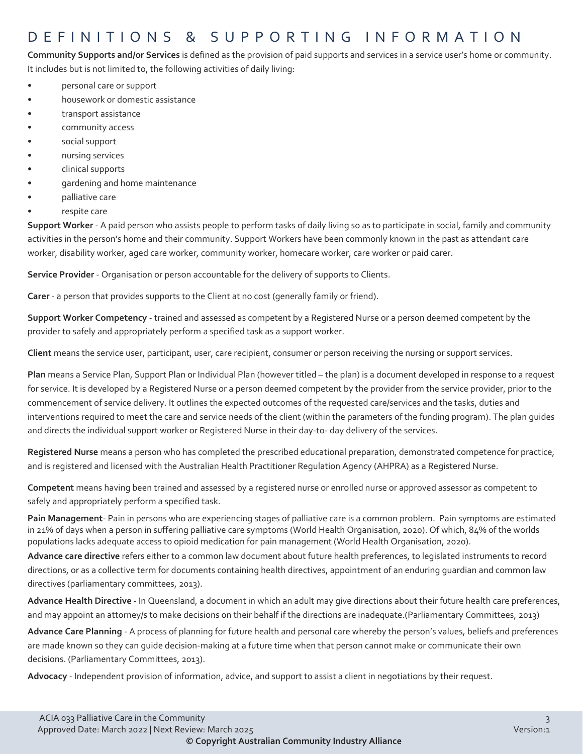# DEFINITIONS & SUPPORTING INFORMATIO N

**Community Supports and/or Services** is defined as the provision of paid supports and services in a service user's home or community. It includes but is not limited to, the following activities of daily living:

- personal care or support
- housework or domestic assistance
- transport assistance
- community access
- social support
- nursing services
- clinical supports
- gardening and home maintenance
- palliative care
- respite care

**Support Worker** - A paid person who assists people to perform tasks of daily living so as to participate in social, family and community activities in the person's home and their community. Support Workers have been commonly known in the past as attendant care worker, disability worker, aged care worker, community worker, homecare worker, care worker or paid carer.

**Service Provider** - Organisation or person accountable for the delivery of supports to Clients.

**Carer** - a person that provides supports to the Client at no cost (generally family or friend).

**Support Worker Competency** - trained and assessed as competent by a Registered Nurse or a person deemed competent by the provider to safely and appropriately perform a specified task as a support worker.

**Client** means the service user, participant, user, care recipient, consumer or person receiving the nursing or support services.

**Plan** means a Service Plan, Support Plan or Individual Plan (however titled – the plan) is a document developed in response to a request for service. It is developed by a Registered Nurse or a person deemed competent by the provider from the service provider, prior to the commencement of service delivery. It outlines the expected outcomes of the requested care/services and the tasks, duties and interventions required to meet the care and service needs of the client (within the parameters of the funding program). The plan guides and directs the individual support worker or Registered Nurse in their day-to- day delivery of the services.

**Registered Nurse** means a person who has completed the prescribed educational preparation, demonstrated competence for practice, and is registered and licensed with the Australian Health Practitioner Regulation Agency (AHPRA) as a Registered Nurse.

**Competent** means having been trained and assessed by a registered nurse or enrolled nurse or approved assessor as competent to safely and appropriately perform a specified task.

**Pain Management**- Pain in persons who are experiencing stages of palliative care is a common problem. Pain symptoms are estimated in 21% of days when a person in suffering palliative care symptoms (World Health Organisation, 2020). Of which, 84% of the worlds populations lacks adequate access to opioid medication for pain management (World Health Organisation, 2020).

**Advance care directive** refers either to a common law document about future health preferences, to legislated instruments to record directions, or as a collective term for documents containing health directives, appointment of an enduring guardian and common law directives (parliamentary committees, 2013).

**Advance Health Directive** - In Queensland, a document in which an adult may give directions about their future health care preferences, and may appoint an attorney/s to make decisions on their behalf if the directions are inadequate.(Parliamentary Committees, 2013)

**Advance Care Planning** - A process of planning for future health and personal care whereby the person's values, beliefs and preferences are made known so they can guide decision-making at a future time when that person cannot make or communicate their own decisions. (Parliamentary Committees, 2013).

**Advocacy** - Independent provision of information, advice, and support to assist a client in negotiations by their request.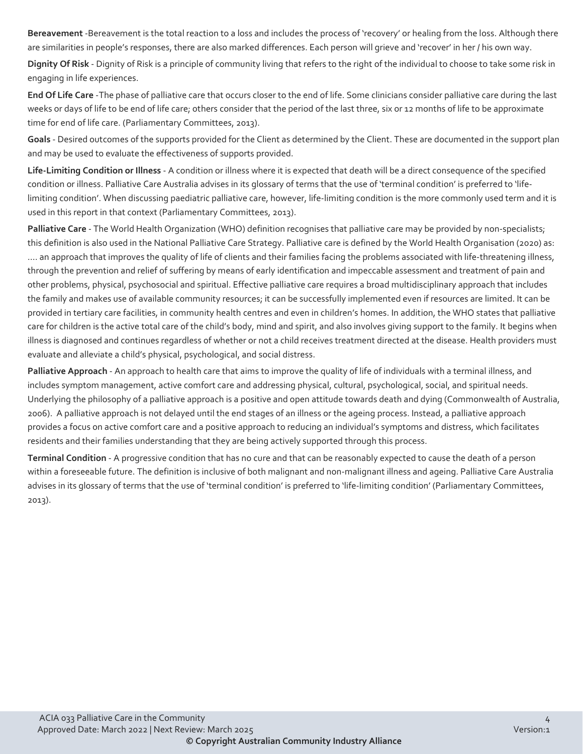**Bereavement** -Bereavement is the total reaction to a loss and includes the process of 'recovery' or healing from the loss. Although there are similarities in people's responses, there are also marked differences. Each person will grieve and 'recover' in her / his own way.

**Dignity Of Risk** - Dignity of Risk is a principle of community living that refers to the right of the individual to choose to take some risk in engaging in life experiences.

**End Of Life Care** -The phase of palliative care that occurs closer to the end of life. Some clinicians consider palliative care during the last weeks or days of life to be end of life care; others consider that the period of the last three, six or 12 months of life to be approximate time for end of life care. (Parliamentary Committees, 2013).

**Goals** - Desired outcomes of the supports provided for the Client as determined by the Client. These are documented in the support plan and may be used to evaluate the effectiveness of supports provided.

**Life-Limiting Condition or Illness** - A condition or illness where it is expected that death will be a direct consequence of the specified condition or illness. Palliative Care Australia advises in its glossary of terms that the use of 'terminal condition' is preferred to 'lifelimiting condition'. When discussing paediatric palliative care, however, life-limiting condition is the more commonly used term and it is used in this report in that context (Parliamentary Committees, 2013).

**Palliative Care** - The World Health Organization (WHO) definition recognises that palliative care may be provided by non-specialists; this definition is also used in the National Palliative Care Strategy. Palliative care is defined by the World Health Organisation (2020) as: .... an approach that improves the quality of life of clients and their families facing the problems associated with life-threatening illness, through the prevention and relief of suffering by means of early identification and impeccable assessment and treatment of pain and other problems, physical, psychosocial and spiritual. Effective palliative care requires a broad multidisciplinary approach that includes the family and makes use of available community resources; it can be successfully implemented even if resources are limited. It can be provided in tertiary care facilities, in community health centres and even in children's homes. In addition, the WHO states that palliative care for children is the active total care of the child's body, mind and spirit, and also involves giving support to the family. It begins when illness is diagnosed and continues regardless of whether or not a child receives treatment directed at the disease. Health providers must evaluate and alleviate a child's physical, psychological, and social distress.

**Palliative Approach** - An approach to health care that aims to improve the quality of life of individuals with a terminal illness, and includes symptom management, active comfort care and addressing physical, cultural, psychological, social, and spiritual needs. Underlying the philosophy of a palliative approach is a positive and open attitude towards death and dying (Commonwealth of Australia, 2006). A palliative approach is not delayed until the end stages of an illness or the ageing process. Instead, a palliative approach provides a focus on active comfort care and a positive approach to reducing an individual's symptoms and distress, which facilitates residents and their families understanding that they are being actively supported through this process.

**Terminal Condition** - A progressive condition that has no cure and that can be reasonably expected to cause the death of a person within a foreseeable future. The definition is inclusive of both malignant and non-malignant illness and ageing. Palliative Care Australia advises in its glossary of terms that the use of 'terminal condition' is preferred to 'life-limiting condition' (Parliamentary Committees, 2013).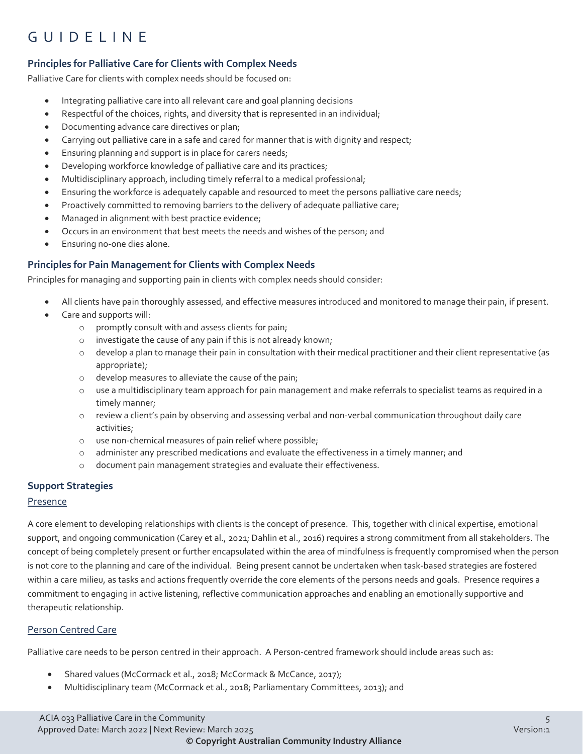# GUIDELINE

### **Principles for Palliative Care for Clients with Complex Needs**

Palliative Care for clients with complex needs should be focused on:

- Integrating palliative care into all relevant care and goal planning decisions
- Respectful of the choices, rights, and diversity that is represented in an individual;
- Documenting advance care directives or plan;
- Carrying out palliative care in a safe and cared for manner that is with dignity and respect;
- Ensuring planning and support is in place for carers needs;
- Developing workforce knowledge of palliative care and its practices;
- Multidisciplinary approach, including timely referral to a medical professional;
- Ensuring the workforce is adequately capable and resourced to meet the persons palliative care needs;
- Proactively committed to removing barriers to the delivery of adequate palliative care;
- Managed in alignment with best practice evidence;
- Occurs in an environment that best meets the needs and wishes of the person; and
- Ensuring no-one dies alone.

#### **Principles for Pain Management for Clients with Complex Needs**

Principles for managing and supporting pain in clients with complex needs should consider:

- All clients have pain thoroughly assessed, and effective measures introduced and monitored to manage their pain, if present.
- Care and supports will:
	- o promptly consult with and assess clients for pain;
	- o investigate the cause of any pain if this is not already known;
	- o develop a plan to manage their pain in consultation with their medical practitioner and their client representative (as appropriate);
	- o develop measures to alleviate the cause of the pain;
	- o use a multidisciplinary team approach for pain management and make referrals to specialist teams as required in a timely manner;
	- o review a client's pain by observing and assessing verbal and non-verbal communication throughout daily care activities;
	- o use non-chemical measures of pain relief where possible;
	- o administer any prescribed medications and evaluate the effectiveness in a timely manner; and
	- o document pain management strategies and evaluate their effectiveness.

#### **Support Strategies**

#### Presence

A core element to developing relationships with clients is the concept of presence. This, together with clinical expertise, emotional support, and ongoing communication (Carey et al., 2021; Dahlin et al., 2016) requires a strong commitment from all stakeholders. The concept of being completely present or further encapsulated within the area of mindfulness is frequently compromised when the person is not core to the planning and care of the individual. Being present cannot be undertaken when task-based strategies are fostered within a care milieu, as tasks and actions frequently override the core elements of the persons needs and goals. Presence requires a commitment to engaging in active listening, reflective communication approaches and enabling an emotionally supportive and therapeutic relationship.

#### Person Centred Care

Palliative care needs to be person centred in their approach. A Person-centred framework should include areas such as:

- Shared values (McCormack et al., 2018; McCormack & McCance, 2017);
- Multidisciplinary team (McCormack et al., 2018; Parliamentary Committees, 2013); and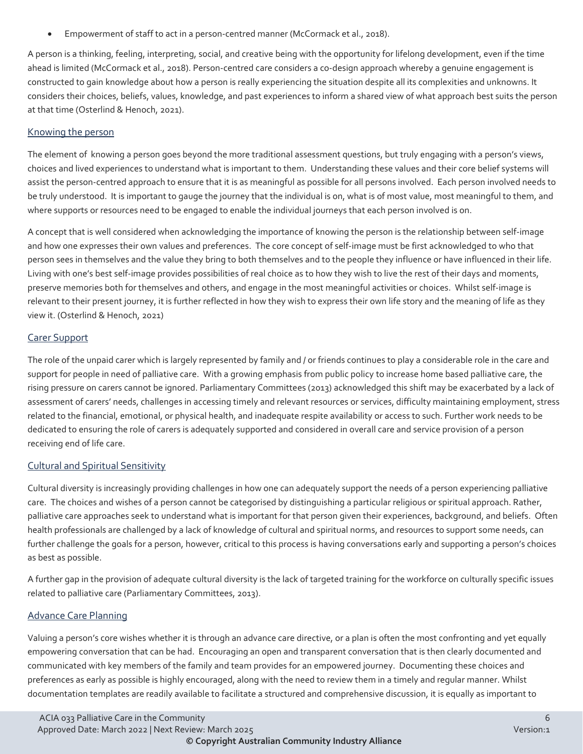• Empowerment of staff to act in a person-centred manner (McCormack et al., 2018).

A person is a thinking, feeling, interpreting, social, and creative being with the opportunity for lifelong development, even if the time ahead is limited (McCormack et al., 2018). Person-centred care considers a co-design approach whereby a genuine engagement is constructed to gain knowledge about how a person is really experiencing the situation despite all its complexities and unknowns. It considers their choices, beliefs, values, knowledge, and past experiences to inform a shared view of what approach best suits the person at that time (Osterlind & Henoch, 2021).

### Knowing the person

The element of knowing a person goes beyond the more traditional assessment questions, but truly engaging with a person's views, choices and lived experiences to understand what is important to them. Understanding these values and their core belief systems will assist the person-centred approach to ensure that it is as meaningful as possible for all persons involved. Each person involved needs to be truly understood. It is important to gauge the journey that the individual is on, what is of most value, most meaningful to them, and where supports or resources need to be engaged to enable the individual journeys that each person involved is on.

A concept that is well considered when acknowledging the importance of knowing the person is the relationship between self-image and how one expresses their own values and preferences. The core concept of self-image must be first acknowledged to who that person sees in themselves and the value they bring to both themselves and to the people they influence or have influenced in their life. Living with one's best self-image provides possibilities of real choice as to how they wish to live the rest of their days and moments, preserve memories both for themselves and others, and engage in the most meaningful activities or choices. Whilst self-image is relevant to their present journey, it is further reflected in how they wish to express their own life story and the meaning of life as they view it. (Osterlind & Henoch, 2021)

### Carer Support

The role of the unpaid carer which is largely represented by family and / or friends continues to play a considerable role in the care and support for people in need of palliative care. With a growing emphasis from public policy to increase home based palliative care, the rising pressure on carers cannot be ignored. Parliamentary Committees (2013) acknowledged this shift may be exacerbated by a lack of assessment of carers' needs, challenges in accessing timely and relevant resources or services, difficulty maintaining employment, stress related to the financial, emotional, or physical health, and inadequate respite availability or access to such. Further work needs to be dedicated to ensuring the role of carers is adequately supported and considered in overall care and service provision of a person receiving end of life care.

### Cultural and Spiritual Sensitivity

Cultural diversity is increasingly providing challenges in how one can adequately support the needs of a person experiencing palliative care. The choices and wishes of a person cannot be categorised by distinguishing a particular religious or spiritual approach. Rather, palliative care approaches seek to understand what is important for that person given their experiences, background, and beliefs. Often health professionals are challenged by a lack of knowledge of cultural and spiritual norms, and resources to support some needs, can further challenge the goals for a person, however, critical to this process is having conversations early and supporting a person's choices as best as possible.

A further gap in the provision of adequate cultural diversity is the lack of targeted training for the workforce on culturally specific issues related to palliative care (Parliamentary Committees, 2013).

#### Advance Care Planning

Valuing a person's core wishes whether it is through an advance care directive, or a plan is often the most confronting and yet equally empowering conversation that can be had. Encouraging an open and transparent conversation that is then clearly documented and communicated with key members of the family and team provides for an empowered journey. Documenting these choices and preferences as early as possible is highly encouraged, along with the need to review them in a timely and regular manner. Whilst documentation templates are readily available to facilitate a structured and comprehensive discussion, it is equally as important to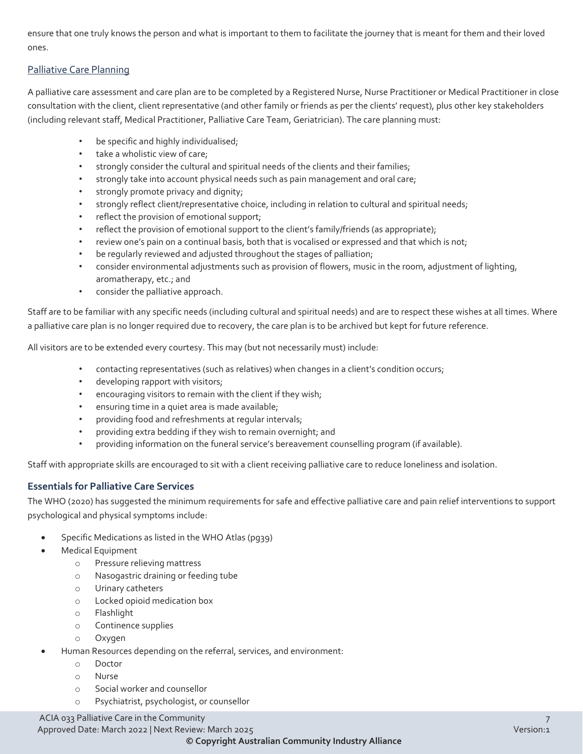ensure that one truly knows the person and what is important to them to facilitate the journey that is meant for them and their loved ones.

### Palliative Care Planning

A palliative care assessment and care plan are to be completed by a Registered Nurse, Nurse Practitioner or Medical Practitioner in close consultation with the client, client representative (and other family or friends as per the clients' request), plus other key stakeholders (including relevant staff, Medical Practitioner, Palliative Care Team, Geriatrician). The care planning must:

- be specific and highly individualised;
- take a wholistic view of care;
- strongly consider the cultural and spiritual needs of the clients and their families;
- strongly take into account physical needs such as pain management and oral care;
- strongly promote privacy and dignity;
- strongly reflect client/representative choice, including in relation to cultural and spiritual needs;
- reflect the provision of emotional support;
- reflect the provision of emotional support to the client's family/friends (as appropriate);
- review one's pain on a continual basis, both that is vocalised or expressed and that which is not;
- be regularly reviewed and adjusted throughout the stages of palliation;
- consider environmental adjustments such as provision of flowers, music in the room, adjustment of lighting, aromatherapy, etc.; and
- consider the palliative approach.

Staff are to be familiar with any specific needs (including cultural and spiritual needs) and are to respect these wishes at all times. Where a palliative care plan is no longer required due to recovery, the care plan is to be archived but kept for future reference.

All visitors are to be extended every courtesy. This may (but not necessarily must) include:

- contacting representatives (such as relatives) when changes in a client's condition occurs;
- developing rapport with visitors;
- encouraging visitors to remain with the client if they wish;
- ensuring time in a quiet area is made available;
- providing food and refreshments at regular intervals;
- providing extra bedding if they wish to remain overnight; and
- providing information on the funeral service's bereavement counselling program (if available).

Staff with appropriate skills are encouraged to sit with a client receiving palliative care to reduce loneliness and isolation.

#### **Essentials for Palliative Care Services**

The WHO (2020) has suggested the minimum requirements for safe and effective palliative care and pain relief interventions to support psychological and physical symptoms include:

- Specific Medications as listed in the WHO Atlas (pg39)
- Medical Equipment
	- o Pressure relieving mattress
	- o Nasogastric draining or feeding tube
	- o Urinary catheters
	- o Locked opioid medication box
	- o Flashlight
	- o Continence supplies
	- o Oxygen
- Human Resources depending on the referral, services, and environment:
	- o Doctor
	- o Nurse
	- o Social worker and counsellor
	- o Psychiatrist, psychologist, or counsellor

### ACIA 033 Palliative Care in the Community 7

Approved Date: March 2022 | Next Review: March 2025 Version:1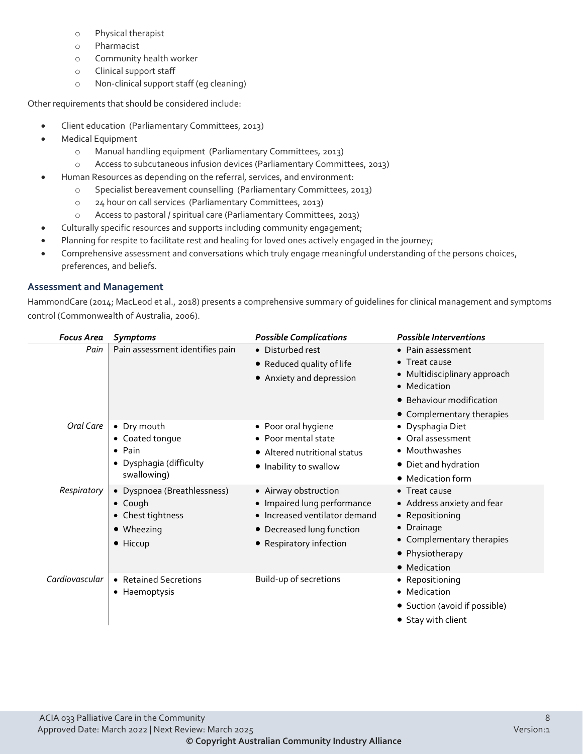- o Physical therapist
- o Pharmacist
- o Community health worker
- o Clinical support staff
- o Non-clinical support staff (eg cleaning)

Other requirements that should be considered include:

- Client education (Parliamentary Committees, 2013)
- Medical Equipment
	- o Manual handling equipment (Parliamentary Committees, 2013)
	- o Access to subcutaneous infusion devices (Parliamentary Committees, 2013)
- Human Resources as depending on the referral, services, and environment:
	- o Specialist bereavement counselling (Parliamentary Committees, 2013)
	- o 24 hour on call services (Parliamentary Committees, 2013)
	- o Access to pastoral / spiritual care (Parliamentary Committees, 2013)
- Culturally specific resources and supports including community engagement;
- Planning for respite to facilitate rest and healing for loved ones actively engaged in the journey;
- Comprehensive assessment and conversations which truly engage meaningful understanding of the persons choices, preferences, and beliefs.

#### **Assessment and Management**

HammondCare (2014; MacLeod et al., 2018) presents a comprehensive summary of guidelines for clinical management and symptoms control (Commonwealth of Australia, 2006).

| <b>Focus Area</b> | <b>Symptoms</b>                                                                               | <b>Possible Complications</b>                                                                                                                | <b>Possible Interventions</b>                                                                                                                |
|-------------------|-----------------------------------------------------------------------------------------------|----------------------------------------------------------------------------------------------------------------------------------------------|----------------------------------------------------------------------------------------------------------------------------------------------|
| Pain              | Pain assessment identifies pain                                                               | • Disturbed rest<br>• Reduced quality of life<br>• Anxiety and depression                                                                    | • Pain assessment<br>Treat cause<br>• Multidisciplinary approach<br>• Medication<br>• Behaviour modification<br>• Complementary therapies    |
| Oral Care         | • Dry mouth<br>• Coated tonque<br>$\bullet$ Pain<br>• Dysphagia (difficulty<br>swallowing)    | • Poor oral hygiene<br>• Poor mental state<br>• Altered nutritional status<br>• Inability to swallow                                         | • Dysphagia Diet<br>• Oral assessment<br>• Mouthwashes<br>• Diet and hydration<br>• Medication form                                          |
| Respiratory       | • Dyspnoea (Breathlessness)<br>$\bullet$ Cough<br>• Chest tightness<br>• Wheezing<br>• Hiccup | • Airway obstruction<br>• Impaired lung performance<br>· Increased ventilator demand<br>• Decreased lung function<br>• Respiratory infection | • Treat cause<br>• Address anxiety and fear<br>• Repositioning<br>• Drainage<br>• Complementary therapies<br>• Physiotherapy<br>• Medication |
| Cardiovascular    | • Retained Secretions<br>• Haemoptysis                                                        | Build-up of secretions                                                                                                                       | • Repositioning<br>• Medication<br>• Suction (avoid if possible)<br>• Stay with client                                                       |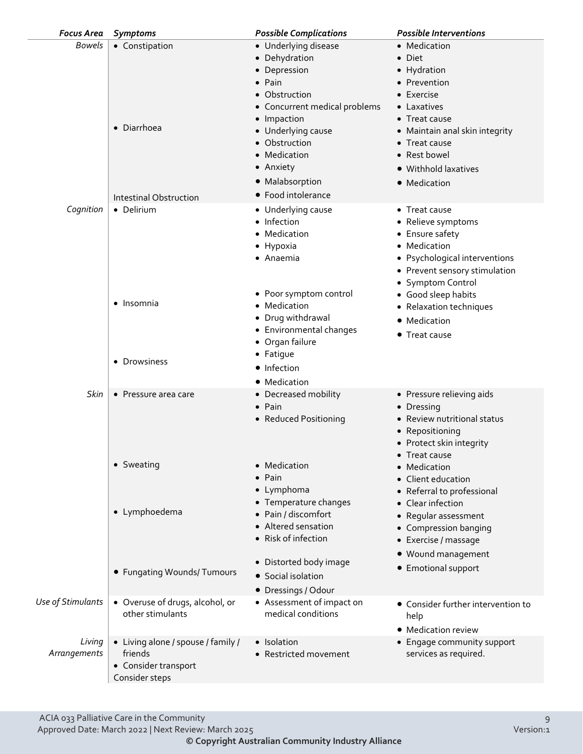| <b>Focus Area</b>      | <b>Symptoms</b>                                                                         | <b>Possible Complications</b>                                                                                                                                                                                                                         | <b>Possible Interventions</b>                                                                                                                                                                                          |
|------------------------|-----------------------------------------------------------------------------------------|-------------------------------------------------------------------------------------------------------------------------------------------------------------------------------------------------------------------------------------------------------|------------------------------------------------------------------------------------------------------------------------------------------------------------------------------------------------------------------------|
| <b>Bowels</b>          | • Constipation<br>• Diarrhoea<br>Intestinal Obstruction                                 | • Underlying disease<br>• Dehydration<br>• Depression<br>$\bullet$ Pain<br>• Obstruction<br>• Concurrent medical problems<br>• Impaction<br>• Underlying cause<br>• Obstruction<br>• Medication<br>• Anxiety<br>• Malabsorption<br>• Food intolerance | • Medication<br>• Diet<br>• Hydration<br>• Prevention<br>$\bullet$ Exercise<br>• Laxatives<br>• Treat cause<br>• Maintain anal skin integrity<br>• Treat cause<br>• Rest bowel<br>· Withhold laxatives<br>• Medication |
| Cognition              | • Delirium                                                                              | • Underlying cause<br>• Infection<br>• Medication<br>• Hypoxia<br>• Anaemia<br>• Poor symptom control                                                                                                                                                 | • Treat cause<br>• Relieve symptoms<br>• Ensure safety<br>• Medication<br>• Psychological interventions<br>• Prevent sensory stimulation<br>• Symptom Control<br>• Good sleep habits                                   |
|                        | • Insomnia<br>• Drowsiness                                                              | • Medication<br>· Drug withdrawal<br>• Environmental changes<br>• Organ failure<br>• Fatigue<br>• Infection<br>• Medication                                                                                                                           | • Relaxation techniques<br>• Medication<br>• Treat cause                                                                                                                                                               |
| Skin                   | • Pressure area care                                                                    | • Decreased mobility<br>• Pain<br>• Reduced Positioning                                                                                                                                                                                               | • Pressure relieving aids<br>• Dressing<br>• Review nutritional status<br>• Repositioning<br>• Protect skin integrity<br>Treat cause                                                                                   |
|                        | • Sweating<br>• Lymphoedema                                                             | • Medication<br>$\bullet$ Pain<br>• Lymphoma<br>• Temperature changes<br>· Pain / discomfort<br>• Altered sensation<br>• Risk of infection                                                                                                            | Medication<br>Client education<br>• Referral to professional<br>• Clear infection<br>• Regular assessment<br>• Compression banging<br>• Exercise / massage<br>· Wound management                                       |
|                        | • Fungating Wounds/ Tumours                                                             | • Distorted body image<br>• Social isolation<br>• Dressings / Odour                                                                                                                                                                                   | • Emotional support                                                                                                                                                                                                    |
| Use of Stimulants      | • Overuse of drugs, alcohol, or<br>other stimulants                                     | • Assessment of impact on<br>medical conditions                                                                                                                                                                                                       | • Consider further intervention to<br>help<br>• Medication review                                                                                                                                                      |
| Living<br>Arrangements | • Living alone / spouse / family /<br>friends<br>• Consider transport<br>Consider steps | • Isolation<br>• Restricted movement                                                                                                                                                                                                                  | • Engage community support<br>services as required.                                                                                                                                                                    |
|                        |                                                                                         |                                                                                                                                                                                                                                                       |                                                                                                                                                                                                                        |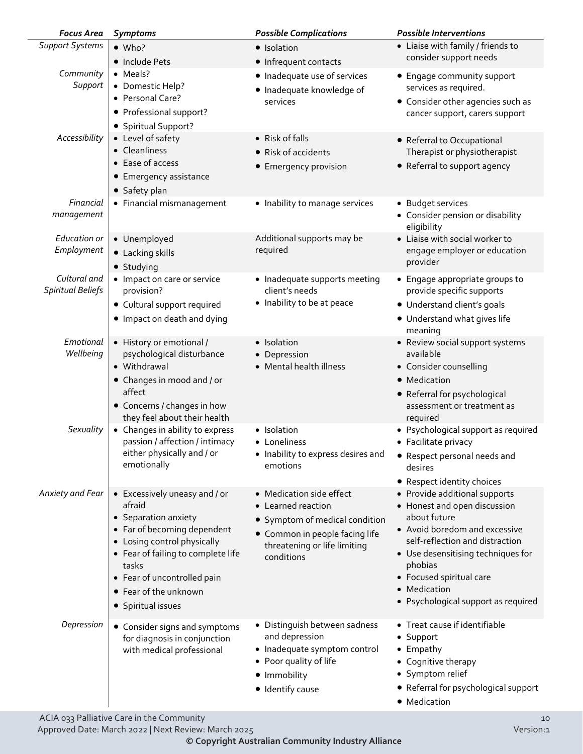| <b>Focus Area</b>        | <b>Symptoms</b>                                                   | <b>Possible Complications</b>                                                | <b>Possible Interventions</b>                                                            |
|--------------------------|-------------------------------------------------------------------|------------------------------------------------------------------------------|------------------------------------------------------------------------------------------|
| <b>Support Systems</b>   | $•$ Who?                                                          | • Isolation                                                                  | • Liaise with family / friends to                                                        |
|                          | • Include Pets                                                    | • Infrequent contacts                                                        | consider support needs                                                                   |
| Community<br>Support     | • Meals?<br>• Domestic Help?<br>• Personal Care?                  | • Inadequate use of services<br>· Inadequate knowledge of<br>services        | • Engage community support<br>services as required.<br>• Consider other agencies such as |
|                          | · Professional support?<br>• Spiritual Support?                   |                                                                              | cancer support, carers support                                                           |
| Accessibility            | • Level of safety                                                 | • Risk of falls                                                              | • Referral to Occupational                                                               |
|                          | • Cleanliness                                                     | • Risk of accidents                                                          | Therapist or physiotherapist                                                             |
|                          | • Ease of access                                                  | • Emergency provision                                                        | • Referral to support agency                                                             |
|                          | • Emergency assistance                                            |                                                                              |                                                                                          |
|                          | • Safety plan                                                     |                                                                              |                                                                                          |
| Financial<br>management  | • Financial mismanagement                                         | • Inability to manage services                                               | • Budget services<br>• Consider pension or disability<br>eligibility                     |
| Education or             | • Unemployed                                                      | Additional supports may be                                                   | • Liaise with social worker to                                                           |
| Employment               | • Lacking skills<br>• Studying                                    | required                                                                     | engage employer or education<br>provider                                                 |
| Cultural and             | • Impact on care or service                                       | • Inadequate supports meeting                                                | • Engage appropriate groups to                                                           |
| <b>Spiritual Beliefs</b> | provision?                                                        | client's needs                                                               | provide specific supports                                                                |
|                          | • Cultural support required                                       | • Inability to be at peace                                                   | • Understand client's goals                                                              |
|                          | • Impact on death and dying                                       |                                                                              | • Understand what gives life<br>meaning                                                  |
| Emotional                | • History or emotional /                                          | • Isolation                                                                  | • Review social support systems                                                          |
| Wellbeing                | psychological disturbance<br>• Withdrawal                         | • Depression<br>• Mental health illness                                      | available<br>• Consider counselling                                                      |
|                          | • Changes in mood and / or<br>affect                              |                                                                              | • Medication<br>• Referral for psychological                                             |
|                          | • Concerns / changes in how<br>they feel about their health       |                                                                              | assessment or treatment as<br>required                                                   |
| Sexuality                | • Changes in ability to express<br>passion / affection / intimacy | · Isolation<br>• Loneliness                                                  | • Psychological support as required<br>• Facilitate privacy                              |
|                          | either physically and / or<br>emotionally                         | • Inability to express desires and<br>emotions                               | • Respect personal needs and<br>desires                                                  |
|                          |                                                                   |                                                                              | • Respect identity choices                                                               |
| Anxiety and Fear         | • Excessively uneasy and / or<br>afraid                           | • Medication side effect<br>• Learned reaction                               | • Provide additional supports<br>• Honest and open discussion                            |
|                          | • Separation anxiety<br>• Far of becoming dependent               | • Symptom of medical condition                                               | about future<br>• Avoid boredom and excessive                                            |
|                          | • Losing control physically<br>• Fear of failing to complete life | • Common in people facing life<br>threatening or life limiting<br>conditions | self-reflection and distraction<br>• Use desensitising techniques for                    |
|                          | tasks<br>• Fear of uncontrolled pain                              |                                                                              | phobias<br>• Focused spiritual care                                                      |
|                          | • Fear of the unknown                                             |                                                                              | • Medication                                                                             |
|                          | • Spiritual issues                                                |                                                                              | • Psychological support as required                                                      |
| Depression               | • Consider signs and symptoms<br>for diagnosis in conjunction     | • Distinguish between sadness<br>and depression                              | • Treat cause if identifiable<br>• Support                                               |
|                          | with medical professional                                         | · Inadequate symptom control                                                 | • Empathy                                                                                |
|                          |                                                                   | • Poor quality of life                                                       | • Cognitive therapy                                                                      |
|                          |                                                                   | · Immobility                                                                 | • Symptom relief                                                                         |
|                          |                                                                   | • Identify cause                                                             | • Referral for psychological support<br>• Medication                                     |

Approved Date: March 2022 | Next Review: March 2025 Version:1